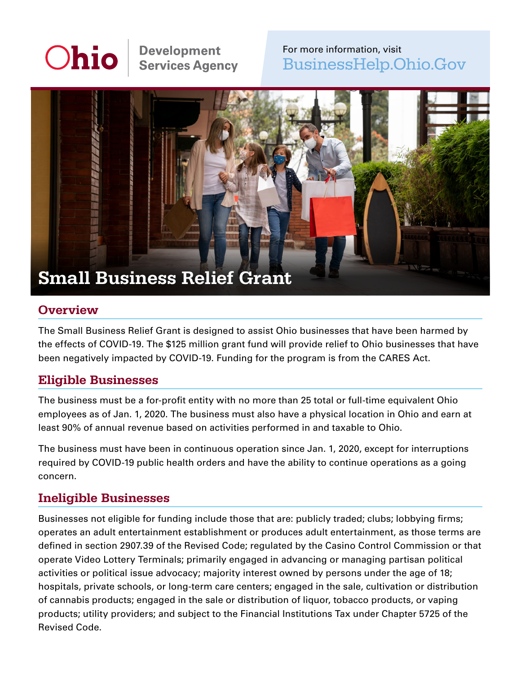# Ohio

# **Development Services Agency**

# For more information, visit [BusinessHelp.Ohio.Gov](https://BusinessHelp.Ohio.Gov)



#### **Overview**

The Small Business Relief Grant is designed to assist Ohio businesses that have been harmed by the effects of COVID-19. The \$125 million grant fund will provide relief to Ohio businesses that have been negatively impacted by COVID-19. Funding for the program is from the CARES Act.

### Eligible Businesses

The business must be a for-profit entity with no more than 25 total or full-time equivalent Ohio employees as of Jan. 1, 2020. The business must also have a physical location in Ohio and earn at least 90% of annual revenue based on activities performed in and taxable to Ohio.

The business must have been in continuous operation since Jan. 1, 2020, except for interruptions required by COVID-19 public health orders and have the ability to continue operations as a going concern.

#### Ineligible Businesses

Businesses not eligible for funding include those that are: publicly traded; clubs; lobbying firms; operates an adult entertainment establishment or produces adult entertainment, as those terms are defined in section 2907.39 of the Revised Code; regulated by the Casino Control Commission or that operate Video Lottery Terminals; primarily engaged in advancing or managing partisan political activities or political issue advocacy; majority interest owned by persons under the age of 18; hospitals, private schools, or long-term care centers; engaged in the sale, cultivation or distribution of cannabis products; engaged in the sale or distribution of liquor, tobacco products, or vaping products; utility providers; and subject to the Financial Institutions Tax under Chapter 5725 of the Revised Code.